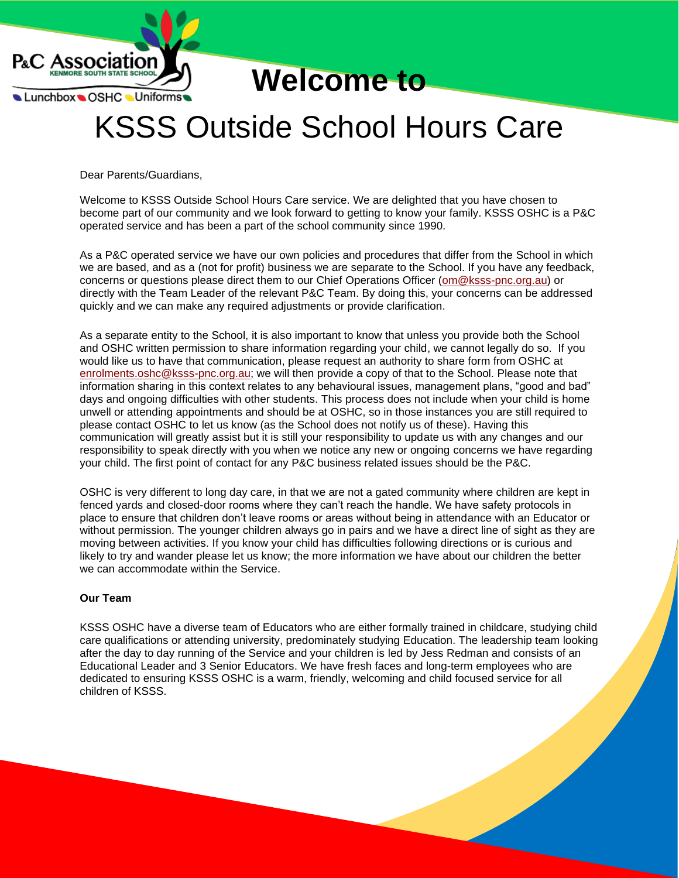

**Welcome to**

# KSSS Outside School Hours Care

Dear Parents/Guardians,

Welcome to KSSS Outside School Hours Care service. We are delighted that you have chosen to become part of our community and we look forward to getting to know your family. KSSS OSHC is a P&C operated service and has been a part of the school community since 1990.

As a P&C operated service we have our own policies and procedures that differ from the School in which we are based, and as a (not for profit) business we are separate to the School. If you have any feedback, concerns or questions please direct them to our Chief Operations Officer [\(om@ksss-pnc.org.au\)](mailto:om@ksss-pnc.org.au) or directly with the Team Leader of the relevant P&C Team. By doing this, your concerns can be addressed quickly and we can make any required adjustments or provide clarification.

As a separate entity to the School, it is also important to know that unless you provide both the School and OSHC written permission to share information regarding your child, we cannot legally do so. If you would like us to have that communication, please request an authority to share form from OSHC at [enrolments.oshc@ksss-pnc.org.au;](mailto:enrolments.oshc@ksss-pnc.org.au) we will then provide a copy of that to the School. Please note that information sharing in this context relates to any behavioural issues, management plans, "good and bad" days and ongoing difficulties with other students. This process does not include when your child is home unwell or attending appointments and should be at OSHC, so in those instances you are still required to please contact OSHC to let us know (as the School does not notify us of these). Having this communication will greatly assist but it is still your responsibility to update us with any changes and our responsibility to speak directly with you when we notice any new or ongoing concerns we have regarding your child. The first point of contact for any P&C business related issues should be the P&C.

OSHC is very different to long day care, in that we are not a gated community where children are kept in fenced yards and closed-door rooms where they can't reach the handle. We have safety protocols in place to ensure that children don't leave rooms or areas without being in attendance with an Educator or without permission. The younger children always go in pairs and we have a direct line of sight as they are moving between activities. If you know your child has difficulties following directions or is curious and likely to try and wander please let us know; the more information we have about our children the better we can accommodate within the Service.

# **Our Team**

KSSS OSHC have a diverse team of Educators who are either formally trained in childcare, studying child care qualifications or attending university, predominately studying Education. The leadership team looking after the day to day running of the Service and your children is led by Jess Redman and consists of an Educational Leader and 3 Senior Educators. We have fresh faces and long-term employees who are dedicated to ensuring KSSS OSHC is a warm, friendly, welcoming and child focused service for all children of KSSS.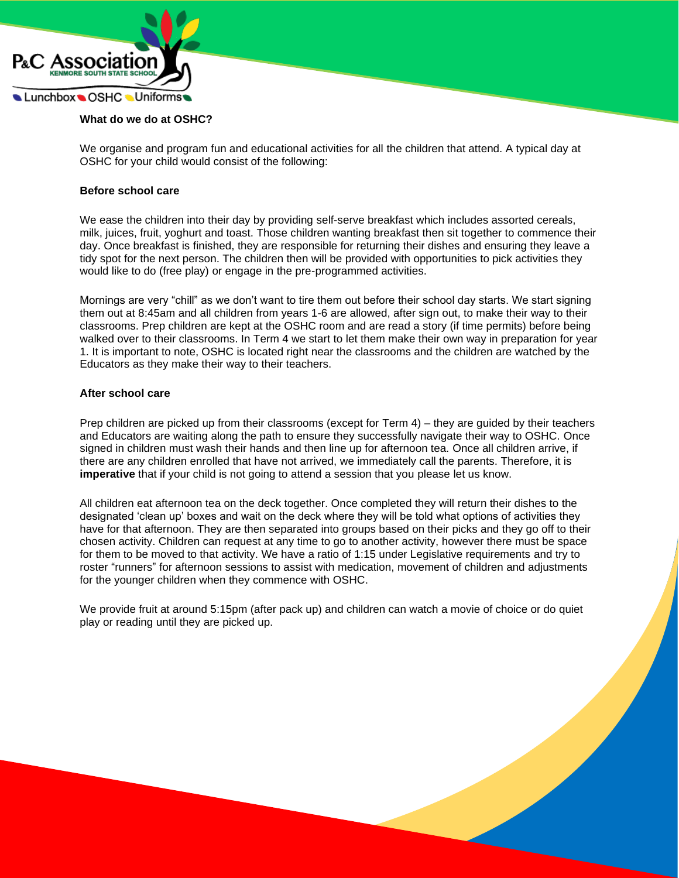

#### **What do we do at OSHC?**

We organise and program fun and educational activities for all the children that attend. A typical day at OSHC for your child would consist of the following:

#### **Before school care**

We ease the children into their day by providing self-serve breakfast which includes assorted cereals, milk, juices, fruit, yoghurt and toast. Those children wanting breakfast then sit together to commence their day. Once breakfast is finished, they are responsible for returning their dishes and ensuring they leave a tidy spot for the next person. The children then will be provided with opportunities to pick activities they would like to do (free play) or engage in the pre-programmed activities.

Mornings are very "chill" as we don't want to tire them out before their school day starts. We start signing them out at 8:45am and all children from years 1-6 are allowed, after sign out, to make their way to their classrooms. Prep children are kept at the OSHC room and are read a story (if time permits) before being walked over to their classrooms. In Term 4 we start to let them make their own way in preparation for year 1. It is important to note, OSHC is located right near the classrooms and the children are watched by the Educators as they make their way to their teachers.

#### **After school care**

Prep children are picked up from their classrooms (except for Term 4) – they are guided by their teachers and Educators are waiting along the path to ensure they successfully navigate their way to OSHC. Once signed in children must wash their hands and then line up for afternoon tea. Once all children arrive, if there are any children enrolled that have not arrived, we immediately call the parents. Therefore, it is **imperative** that if your child is not going to attend a session that you please let us know.

All children eat afternoon tea on the deck together. Once completed they will return their dishes to the designated 'clean up' boxes and wait on the deck where they will be told what options of activities they have for that afternoon. They are then separated into groups based on their picks and they go off to their chosen activity. Children can request at any time to go to another activity, however there must be space for them to be moved to that activity. We have a ratio of 1:15 under Legislative requirements and try to roster "runners" for afternoon sessions to assist with medication, movement of children and adjustments for the younger children when they commence with OSHC.

We provide fruit at around 5:15pm (after pack up) and children can watch a movie of choice or do quiet play or reading until they are picked up.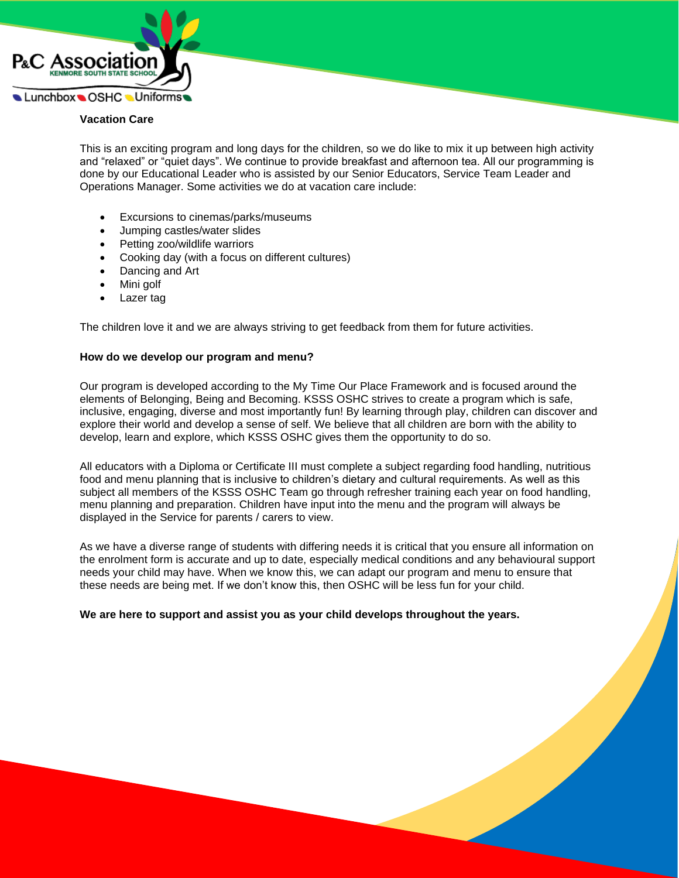

## **Vacation Care**

This is an exciting program and long days for the children, so we do like to mix it up between high activity and "relaxed" or "quiet days". We continue to provide breakfast and afternoon tea. All our programming is done by our Educational Leader who is assisted by our Senior Educators, Service Team Leader and Operations Manager. Some activities we do at vacation care include:

- Excursions to cinemas/parks/museums
- Jumping castles/water slides
- Petting zoo/wildlife warriors
- Cooking day (with a focus on different cultures)
- Dancing and Art
- Mini golf
- Lazer tag

The children love it and we are always striving to get feedback from them for future activities.

## **How do we develop our program and menu?**

Our program is developed according to the My Time Our Place Framework and is focused around the elements of Belonging, Being and Becoming. KSSS OSHC strives to create a program which is safe, inclusive, engaging, diverse and most importantly fun! By learning through play, children can discover and explore their world and develop a sense of self. We believe that all children are born with the ability to develop, learn and explore, which KSSS OSHC gives them the opportunity to do so.

All educators with a Diploma or Certificate III must complete a subject regarding food handling, nutritious food and menu planning that is inclusive to children's dietary and cultural requirements. As well as this subject all members of the KSSS OSHC Team go through refresher training each year on food handling, menu planning and preparation. Children have input into the menu and the program will always be displayed in the Service for parents / carers to view.

As we have a diverse range of students with differing needs it is critical that you ensure all information on the enrolment form is accurate and up to date, especially medical conditions and any behavioural support needs your child may have. When we know this, we can adapt our program and menu to ensure that these needs are being met. If we don't know this, then OSHC will be less fun for your child.

**We are here to support and assist you as your child develops throughout the years.**